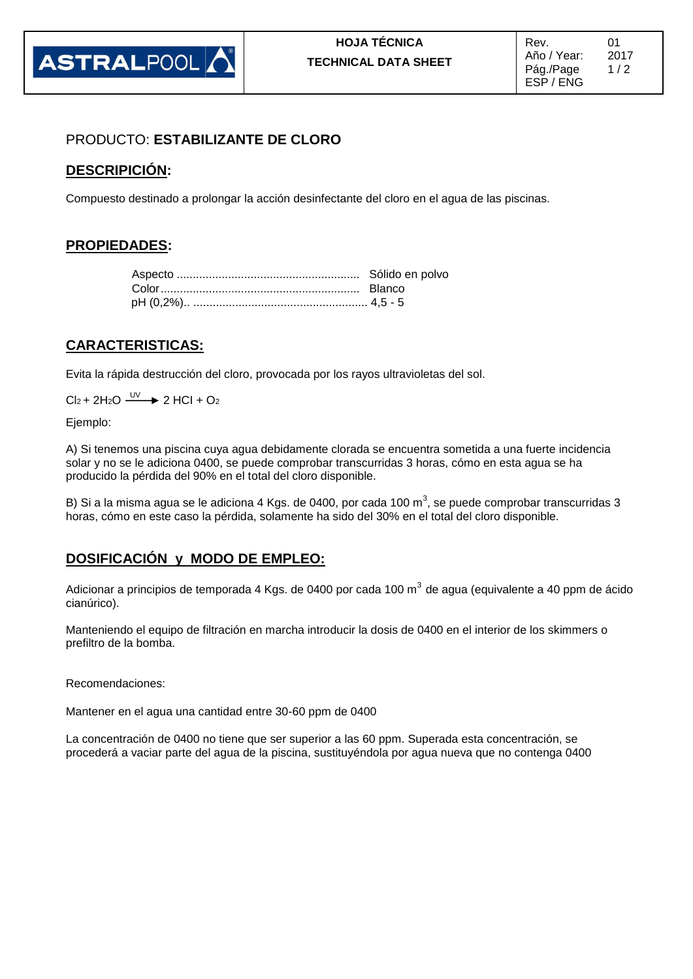

### PRODUCTO: **ESTABILIZANTE DE CLORO**

#### **DESCRIPICIÓN:**

Compuesto destinado a prolongar la acción desinfectante del cloro en el agua de las piscinas.

#### **PROPIEDADES:**

#### **CARACTERISTICAS:**

Evita la rápida destrucción del cloro, provocada por los rayos ultravioletas del sol.

 $Cl_2 + 2H_2O \xrightarrow{UV} 2HCl + O_2$ 

Ejemplo:

A) Si tenemos una piscina cuya agua debidamente clorada se encuentra sometida a una fuerte incidencia solar y no se le adiciona 0400, se puede comprobar transcurridas 3 horas, cómo en esta agua se ha producido la pérdida del 90% en el total del cloro disponible.

B) Si a la misma agua se le adiciona 4 Kgs. de 0400, por cada 100 m<sup>3</sup>, se puede comprobar transcurridas 3 horas, cómo en este caso la pérdida, solamente ha sido del 30% en el total del cloro disponible.

#### **DOSIFICACIÓN y MODO DE EMPLEO:**

Adicionar a principios de temporada 4 Kgs. de 0400 por cada 100 m $^3$  de agua (equivalente a 40 ppm de ácido cianúrico).

Manteniendo el equipo de filtración en marcha introducir la dosis de 0400 en el interior de los skimmers o prefiltro de la bomba.

Recomendaciones:

Mantener en el agua una cantidad entre 30-60 ppm de 0400

La concentración de 0400 no tiene que ser superior a las 60 ppm. Superada esta concentración, se procederá a vaciar parte del agua de la piscina, sustituyéndola por agua nueva que no contenga 0400